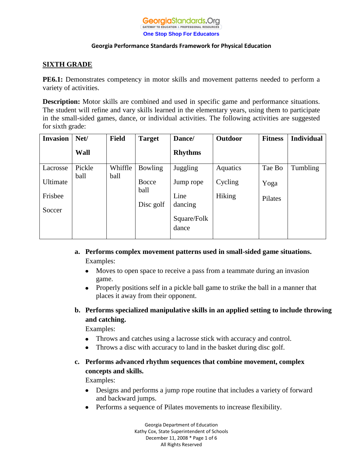

# **SIXTH GRADE**

**PE6.1:** Demonstrates competency in motor skills and movement patterns needed to perform a variety of activities.

**Description:** Motor skills are combined and used in specific game and performance situations. The student will refine and vary skills learned in the elementary years, using them to participate in the small-sided games, dance, or individual activities. The following activities are suggested for sixth grade:

| Net/   | <b>Field</b> | <b>Target</b>  | Dance/            | <b>Outdoor</b> | <b>Fitness</b> | <b>Individual</b> |
|--------|--------------|----------------|-------------------|----------------|----------------|-------------------|
| Wall   |              |                | <b>Rhythms</b>    |                |                |                   |
| Pickle | Whiffle      | <b>Bowling</b> | Juggling          | Aquatics       | Tae Bo         | Tumbling          |
|        |              | Bocce          | Jump rope         | Cycling        | Yoga           |                   |
|        |              |                | Line              | Hiking         | Pilates        |                   |
|        |              |                | dancing           |                |                |                   |
|        |              |                |                   |                |                |                   |
|        |              |                | dance             |                |                |                   |
|        | ball         | ball           | ball<br>Disc golf | Square/Folk    |                |                   |

- **a. Performs complex movement patterns used in small-sided game situations.** Examples:
	- Moves to open space to receive a pass from a teammate during an invasion  $\bullet$ game.
	- Properly positions self in a pickle ball game to strike the ball in a manner that  $\bullet$ places it away from their opponent.
- **b. Performs specialized manipulative skills in an applied setting to include throwing and catching.**

Examples:

- Throws and catches using a lacrosse stick with accuracy and control.  $\bullet$
- Throws a disc with accuracy to land in the basket during disc golf.  $\bullet$

# **c. Performs advanced rhythm sequences that combine movement, complex concepts and skills.**

Examples:

- $\bullet$ Designs and performs a jump rope routine that includes a variety of forward and backward jumps.
- Performs a sequence of Pilates movements to increase flexibility.

Georgia Department of Education Kathy Cox, State Superintendent of Schools December 11, 2008 \* Page 1 of 6 All Rights Reserved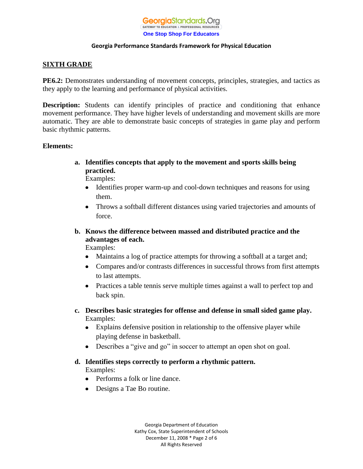

## **SIXTH GRADE**

**PE6.2:** Demonstrates understanding of movement concepts, principles, strategies, and tactics as they apply to the learning and performance of physical activities.

**Description:** Students can identify principles of practice and conditioning that enhance movement performance. They have higher levels of understanding and movement skills are more automatic. They are able to demonstrate basic concepts of strategies in game play and perform basic rhythmic patterns.

### **Elements:**

**a. Identifies concepts that apply to the movement and sports skills being practiced.**

Examples:

- Identifies proper warm-up and cool-down techniques and reasons for using  $\bullet$ them.
- Throws a softball different distances using varied trajectories and amounts of  $\bullet$ force.
- **b. Knows the difference between massed and distributed practice and the advantages of each.**

Examples:

- Maintains a log of practice attempts for throwing a softball at a target and;  $\bullet$
- Compares and/or contrasts differences in successful throws from first attempts to last attempts.
- Practices a table tennis serve multiple times against a wall to perfect top and back spin.
- **c. Describes basic strategies for offense and defense in small sided game play.** Examples:
	- Explains defensive position in relationship to the offensive player while playing defense in basketball.
	- Describes a "give and go" in soccer to attempt an open shot on goal.
- **d. Identifies steps correctly to perform a rhythmic pattern.** Examples:
	- Performs a folk or line dance.
	- Designs a Tae Bo routine.

Georgia Department of Education Kathy Cox, State Superintendent of Schools December 11, 2008 \* Page 2 of 6 All Rights Reserved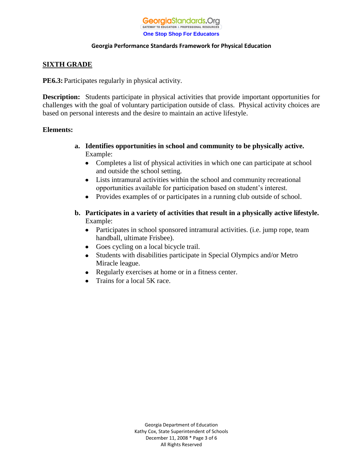

## **SIXTH GRADE**

**PE6.3:** Participates regularly in physical activity.

**Description:** Students participate in physical activities that provide important opportunities for challenges with the goal of voluntary participation outside of class. Physical activity choices are based on personal interests and the desire to maintain an active lifestyle.

### **Elements:**

- **a. Identifies opportunities in school and community to be physically active.** Example:
	- $\bullet$ Completes a list of physical activities in which one can participate at school and outside the school setting.
	- Lists intramural activities within the school and community recreational opportunities available for participation based on student's interest.
	- Provides examples of or participates in a running club outside of school.  $\bullet$
- **b. Participates in a variety of activities that result in a physically active lifestyle.** Example:
	- Participates in school sponsored intramural activities. (i.e. jump rope, team handball, ultimate Frisbee).
	- Goes cycling on a local bicycle trail.
	- Students with disabilities participate in Special Olympics and/or Metro  $\bullet$ Miracle league.
	- Regularly exercises at home or in a fitness center.  $\bullet$
	- Trains for a local 5K race. $\bullet$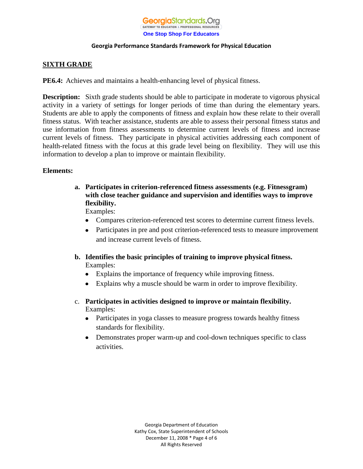

# **SIXTH GRADE**

**PE6.4:** Achieves and maintains a health-enhancing level of physical fitness.

**Description:** Sixth grade students should be able to participate in moderate to vigorous physical activity in a variety of settings for longer periods of time than during the elementary years. Students are able to apply the components of fitness and explain how these relate to their overall fitness status. With teacher assistance, students are able to assess their personal fitness status and use information from fitness assessments to determine current levels of fitness and increase current levels of fitness. They participate in physical activities addressing each component of health-related fitness with the focus at this grade level being on flexibility. They will use this information to develop a plan to improve or maintain flexibility.

### **Elements:**

- **a. Participates in criterion-referenced fitness assessments (e.g. Fitnessgram) with close teacher guidance and supervision and identifies ways to improve flexibility.**  Examples:
	- Compares criterion-referenced test scores to determine current fitness levels.
	- Participates in pre and post criterion-referenced tests to measure improvement  $\bullet$ and increase current levels of fitness.
- **b. Identifies the basic principles of training to improve physical fitness.** Examples:
	- Explains the importance of frequency while improving fitness.
	- Explains why a muscle should be warm in order to improve flexibility.
- c. **Participates in activities designed to improve or maintain flexibility.** Examples:
	- Participates in yoga classes to measure progress towards healthy fitness standards for flexibility.
	- Demonstrates proper warm-up and cool-down techniques specific to class  $\bullet$ activities.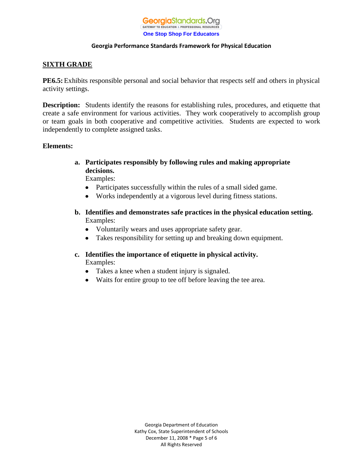

## **SIXTH GRADE**

**PE6.5:**Exhibits responsible personal and social behavior that respects self and others in physical activity settings.

**Description:** Students identify the reasons for establishing rules, procedures, and etiquette that create a safe environment for various activities. They work cooperatively to accomplish group or team goals in both cooperative and competitive activities. Students are expected to work independently to complete assigned tasks.

### **Elements:**

**a. Participates responsibly by following rules and making appropriate decisions.**

Examples:

- Participates successfully within the rules of a small sided game.
- Works independently at a vigorous level during fitness stations.
- **b. Identifies and demonstrates safe practices in the physical education setting.** Examples:
	- Voluntarily wears and uses appropriate safety gear.
	- Takes responsibility for setting up and breaking down equipment.
- **c. Identifies the importance of etiquette in physical activity.** Examples:
	- Takes a knee when a student injury is signaled.
	- Waits for entire group to tee off before leaving the tee area.